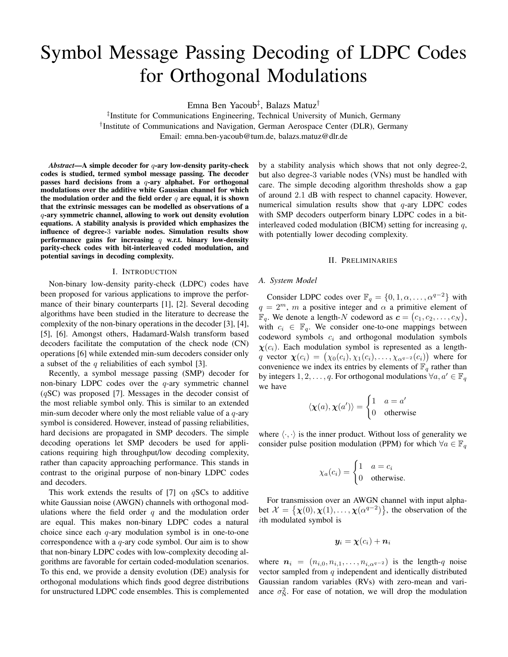# Symbol Message Passing Decoding of LDPC Codes for Orthogonal Modulations

Emna Ben Yacoub‡ , Balazs Matuz†

‡ Institute for Communications Engineering, Technical University of Munich, Germany † Institute of Communications and Navigation, German Aerospace Center (DLR), Germany Email: emna.ben-yacoub@tum.de, balazs.matuz@dlr.de

*Abstract*—A simple decoder for q-ary low-density parity-check codes is studied, termed symbol message passing. The decoder passes hard decisions from a  $q$ -ary alphabet. For orthogonal modulations over the additive white Gaussian channel for which the modulation order and the field order  $q$  are equal, it is shown that the extrinsic messages can be modelled as observations of a q-ary symmetric channel, allowing to work out density evolution equations. A stability analysis is provided which emphasizes the influence of degree-3 variable nodes. Simulation results show performance gains for increasing  $q$  w.r.t. binary low-density parity-check codes with bit-interleaved coded modulation, and potential savings in decoding complexity.

#### I. INTRODUCTION

Non-binary low-density parity-check (LDPC) codes have been proposed for various applications to improve the performance of their binary counterparts [1], [2]. Several decoding algorithms have been studied in the literature to decrease the complexity of the non-binary operations in the decoder [3], [4], [5], [6]. Amongst others, Hadamard-Walsh transform based decoders facilitate the computation of the check node (CN) operations [6] while extended min-sum decoders consider only a subset of the  $q$  reliabilities of each symbol [3].

Recently, a symbol message passing (SMP) decoder for non-binary LDPC codes over the  $q$ -ary symmetric channel  $(qSC)$  was proposed [7]. Messages in the decoder consist of the most reliable symbol only. This is similar to an extended min-sum decoder where only the most reliable value of a  $q$ -ary symbol is considered. However, instead of passing reliabilities, hard decisions are propagated in SMP decoders. The simple decoding operations let SMP decoders be used for applications requiring high throughput/low decoding complexity, rather than capacity approaching performance. This stands in contrast to the original purpose of non-binary LDPC codes and decoders.

This work extends the results of [7] on  $qSCs$  to additive white Gaussian noise (AWGN) channels with orthogonal modulations where the field order  $q$  and the modulation order are equal. This makes non-binary LDPC codes a natural choice since each  $q$ -ary modulation symbol is in one-to-one correspondence with a  $q$ -ary code symbol. Our aim is to show that non-binary LDPC codes with low-complexity decoding algorithms are favorable for certain coded-modulation scenarios. To this end, we provide a density evolution (DE) analysis for orthogonal modulations which finds good degree distributions for unstructured LDPC code ensembles. This is complemented by a stability analysis which shows that not only degree-2, but also degree-3 variable nodes (VNs) must be handled with care. The simple decoding algorithm thresholds show a gap of around 2.1 dB with respect to channel capacity. However, numerical simulation results show that  $q$ -ary LDPC codes with SMP decoders outperform binary LDPC codes in a bitinterleaved coded modulation (BICM) setting for increasing  $q$ , with potentially lower decoding complexity.

#### II. PRELIMINARIES

#### *A. System Model*

Consider LDPC codes over  $\mathbb{F}_q = \{0, 1, \alpha, \dots, \alpha^{q-2}\}\$  with  $q = 2^m$ , m a positive integer and  $\alpha$  a primitive element of  $\mathbb{F}_q$ . We denote a length-N codeword as  $\mathbf{c} = (c_1, c_2, \dots, c_N)$ , with  $c_i \in \mathbb{F}_q$ . We consider one-to-one mappings between codeword symbols  $c_i$  and orthogonal modulation symbols  $\chi(c_i)$ . Each modulation symbol is represented as a lengthq vector  $\chi(c_i) = (\chi_0(c_i), \chi_1(c_i), \ldots, \chi_{\alpha^{q-2}}(c_i))$  where for convenience we index its entries by elements of  $\mathbb{F}_q$  rather than by integers  $1, 2, \ldots, q$ . For orthogonal modulations  $\forall a, a' \in \mathbb{F}_q$ we have

$$
\langle \boldsymbol{\chi}(a), \boldsymbol{\chi}(a') \rangle = \begin{cases} 1 & a = a' \\ 0 & \text{otherwise} \end{cases}
$$

where  $\langle \cdot, \cdot \rangle$  is the inner product. Without loss of generality we consider pulse position modulation (PPM) for which  $\forall a \in \mathbb{F}_q$ 

$$
\chi_a(c_i) = \begin{cases} 1 & a = c_i \\ 0 & \text{otherwise.} \end{cases}
$$

For transmission over an AWGN channel with input alphabet  $\mathcal{X} = {\mathbf{x}(0), \mathbf{x}(1), \dots, \mathbf{x}(\alpha^{q-2})}$ , the observation of the ith modulated symbol is

$$
\bm{y}_i = \bm{\chi}(c_i) + \bm{n}_i
$$

where  $n_i = (n_{i,0}, n_{i,1}, \ldots, n_{i,\alpha^{q-2}})$  is the length-q noise vector sampled from  $q$  independent and identically distributed Gaussian random variables (RVs) with zero-mean and variance  $\sigma_N^2$ . For ease of notation, we will drop the modulation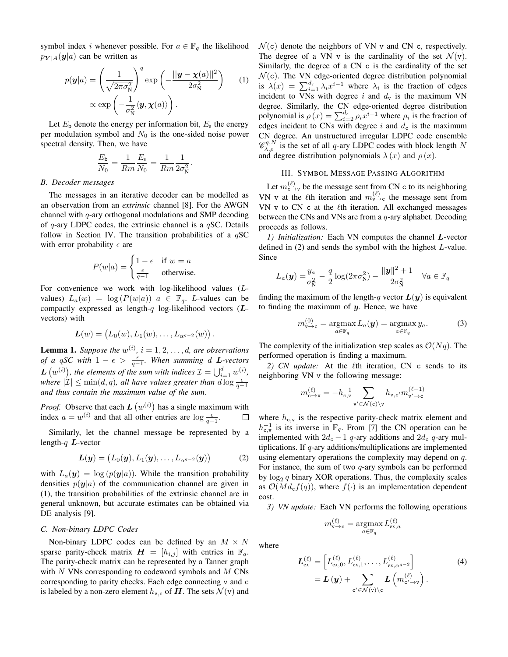symbol index *i* whenever possible. For  $a \in \mathbb{F}_q$  the likelihood  $p_{Y|A}(y|a)$  can be written as

$$
p(\mathbf{y}|a) = \left(\frac{1}{\sqrt{2\pi\sigma_N^2}}\right)^q \exp\left(-\frac{||\mathbf{y} - \mathbf{\chi}(a)||^2}{2\sigma_N^2}\right) \qquad (1)
$$

$$
\propto \exp\left(-\frac{1}{\sigma_N^2} \langle \mathbf{y}, \mathbf{\chi}(a) \rangle\right).
$$

.

Let  $E_{\rm b}$  denote the energy per information bit,  $E_{\rm s}$  the energy per modulation symbol and  $N_0$  is the one-sided noise power spectral density. Then, we have

$$
\frac{E_{\rm b}}{N_0} = \frac{1}{Rm} \frac{E_{\rm s}}{N_0} = \frac{1}{Rm} \frac{1}{2\sigma_{\rm N}^2}
$$

#### *B. Decoder messages*

The messages in an iterative decoder can be modelled as an observation from an *extrinsic* channel [8]. For the AWGN channel with  $q$ -ary orthogonal modulations and SMP decoding of  $q$ -ary LDPC codes, the extrinsic channel is a  $qSC$ . Details follow in Section IV. The transition probabilities of a  $qSC$ with error probability  $\epsilon$  are

$$
P(w|a) = \begin{cases} 1 - \epsilon & \text{if } w = a \\ \frac{\epsilon}{q - 1} & \text{otherwise.} \end{cases}
$$

For convenience we work with log-likelihood values (Lvalues)  $L_a(w) = \log(P(w|a))$   $a \in \mathbb{F}_q$ . L-values can be compactly expressed as length-q log-likelihood vectors  $(L$ vectors) with

$$
\mathbf{L}(w) = (L_0(w), L_1(w), \ldots, L_{\alpha^{q-2}}(w)).
$$

**Lemma 1.** Suppose the  $w^{(i)}$ ,  $i = 1, 2, \ldots, d$ , are observations *of a qSC with*  $1 - \epsilon > \frac{\epsilon}{q-1}$ *. When summing d L-vectors*  $\boldsymbol{L}\left(w^{(i)}\right)$ , the elements of the sum with indices  $\mathcal{I} = \bigcup_{i=1}^d w^{(i)}$ , *where*  $|\mathcal{I}| \le \min(d, q)$ , all have values greater than  $d \log \frac{\epsilon}{q-1}$ *and thus contain the maximum value of the sum.*

*Proof.* Observe that each  $L(w^{(i)})$  has a single maximum with index  $a = w^{(i)}$  and that all other entries are  $\log \frac{\epsilon}{q-1}$ .  $\Box$ 

Similarly, let the channel message be represented by a length- $q$   $L$ -vector

$$
\boldsymbol{L}(\boldsymbol{y}) = (L_0(\boldsymbol{y}), L_1(\boldsymbol{y}), \dots, L_{\alpha^{q-2}}(\boldsymbol{y})) \tag{2}
$$

with  $L_a(\mathbf{y}) = \log (p(\mathbf{y}|a))$ . While the transition probability densities  $p(\mathbf{y}|a)$  of the communication channel are given in (1), the transition probabilities of the extrinsic channel are in general unknown, but accurate estimates can be obtained via DE analysis [9].

# *C. Non-binary LDPC Codes*

Non-binary LDPC codes can be defined by an  $M \times N$ sparse parity-check matrix  $\mathbf{H} = [h_{i,j}]$  with entries in  $\mathbb{F}_q$ . The parity-check matrix can be represented by a Tanner graph with  $N$  VNs corresponding to codeword symbols and  $M$  CNs corresponding to parity checks. Each edge connecting v and c is labeled by a non-zero element  $h_{v,c}$  of  $H$ . The sets  $\mathcal{N}(v)$  and  $\mathcal{N}(c)$  denote the neighbors of VN v and CN c, respectively. The degree of a VN v is the cardinality of the set  $\mathcal{N}(v)$ . Similarly, the degree of a CN c is the cardinality of the set  $\mathcal{N}(c)$ . The VN edge-oriented degree distribution polynomial is  $\lambda(x) = \sum_{i=1}^{d_v} \lambda_i x^{i-1}$  where  $\lambda_i$  is the fraction of edges incident to VNs with degree i and  $d_v$  is the maximum VN degree. Similarly, the CN edge-oriented degree distribution polynomial is  $\rho(x) = \sum_{i=2}^{d_c} \rho_i x^{i-1}$  where  $\rho_i$  is the fraction of edges incident to CNs with degree i and  $d_c$  is the maximum CN degree. An unstructured irregular LDPC code ensemble  $\mathscr{C}_{\lambda,\rho}^{q,N}$  is the set of all q-ary LDPC codes with block length N and degree distribution polynomials  $\lambda(x)$  and  $\rho(x)$ .

## III. SYMBOL MESSAGE PASSING ALGORITHM

Let  $m_{c \to v}^{(\ell)}$  be the message sent from CN c to its neighboring VN v at the  $\ell$ th iteration and  $m_{\nu \to c}^{(\ell)}$  the message sent from VN v to CN c at the  $\ell$ th iteration. All exchanged messages between the CNs and VNs are from a q-ary alphabet. Decoding proceeds as follows.

*1) Initialization:* Each VN computes the channel L-vector defined in (2) and sends the symbol with the highest L-value. Since

$$
L_a(\mathbf{y}) = \frac{y_a}{\sigma_N^2} - \frac{q}{2}\log(2\pi\sigma_N^2) - \frac{\|\mathbf{y}\|^2 + 1}{2\sigma_N^2} \quad \forall a \in \mathbb{F}_q
$$

finding the maximum of the length-q vector  $L(y)$  is equivalent to finding the maximum of  $y$ . Hence, we have

$$
m_{\mathbf{v}\to\mathbf{c}}^{(0)} = \underset{a\in\mathbb{F}_q}{\operatorname{argmax}} L_a(\mathbf{y}) = \underset{a\in\mathbb{F}_q}{\operatorname{argmax}} y_a.
$$
 (3)

The complexity of the initialization step scales as  $\mathcal{O}(Nq)$ . The performed operation is finding a maximum.

2) CN update: At the  $\ell$ th iteration, CN c sends to its neighboring VN v the following message:

$$
m_{\mathsf{c}\to\mathsf{v}}^{(\ell)} = -h_{\mathsf{c},\mathsf{v}}^{-1} \sum_{\mathsf{v}'\in\mathcal{N}(\mathsf{c})\backslash\mathsf{v}} h_{\mathsf{v},\mathsf{c}'} m_{\mathsf{v}'\to\mathsf{c}}^{(\ell-1)}
$$

where  $h_{c,v}$  is the respective parity-check matrix element and  $h_{c,v}^{-1}$  is its inverse in  $\mathbb{F}_q$ . From [7] the CN operation can be implemented with  $2d_c - 1$  q-ary additions and  $2d_c$  q-ary multiplications. If q-ary additions/multiplications are implemented using elementary operations the complexity may depend on q. For instance, the sum of two  $q$ -ary symbols can be performed by  $\log_2 q$  binary XOR operations. Thus, the complexity scales as  $\mathcal{O}(Md_{\rm c}f(q))$ , where  $f(\cdot)$  is an implementation dependent cost.

*3) VN update:* Each VN performs the following operations

$$
m_{\mathtt{v}\to\mathtt{c}}^{(\ell)}=\underset{a\in\mathbb{F}_q}{\operatorname{argmax}}\,L_{\mathrm{ex},a}^{(\ell)}
$$

where

$$
L_{\text{ex}}^{(\ell)} = \left[ L_{\text{ex},0}^{(\ell)}, L_{\text{ex},1}^{(\ell)}, \dots, L_{\text{ex},\alpha^{q-2}}^{(\ell)} \right] = L(\mathbf{y}) + \sum_{\text{c}' \in \mathcal{N}(\text{v}) \backslash \text{c}} L\left(m_{\text{c}' \to \text{v}}^{(\ell)}\right).
$$
(4)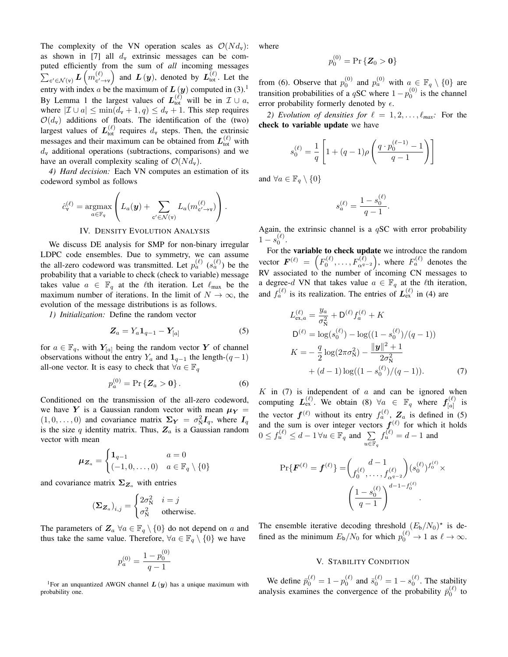The complexity of the VN operation scales as  $\mathcal{O}(Nd_{\rm v})$ : as shown in [7] all  $d_v$  extrinsic messages can be computed efficiently from the sum of *all* incoming messages  $\sum_{\mathsf{c'} \in \mathcal{N}(\mathtt{v})} \boldsymbol{L} \left( m_{\mathsf{c'}-}^{(\ell)} \right)$  $\begin{pmatrix} (\ell) \\ c' \rightarrow v \end{pmatrix}$  and  $L(y)$ , denoted by  $L_{\text{tot}}^{(\ell)}$ . Let the entry with index a be the maximum of  $L(y)$  computed in (3).<sup>1</sup> By Lemma 1 the largest values of  $L_{\text{tot}}^{(\ell)}$  will be in  $\mathcal{I} \cup a$ , where  $|\mathcal{I} \cup a| \le \min(d_v + 1, q) \le d_v + 1$ . This step requires  $\mathcal{O}(d_v)$  additions of floats. The identification of the (two) largest values of  $L_{\text{tot}}^{(\ell)}$  requires  $d_{\text{v}}$  steps. Then, the extrinsic messages and their maximum can be obtained from  $L_{\text{tot}}^{(\ell)}$  with  $d_v$  additional operations (subtractions, comparisons) and we have an overall complexity scaling of  $\mathcal{O}(Nd_{v})$ .

*4) Hard decision:* Each VN computes an estimation of its codeword symbol as follows

$$
\hat{c}_{\mathbf{v}}^{(\ell)} = \underset{a \in \mathbb{F}_q}{\operatorname{argmax}} \left( L_a(\mathbf{y}) + \sum_{\mathbf{c}' \in \mathcal{N}(\mathbf{v})} L_a(m_{\mathbf{c}' \to \mathbf{v}}^{(\ell)}) \right).
$$

# IV. DENSITY EVOLUTION ANALYSIS

We discuss DE analysis for SMP for non-binary irregular LDPC code ensembles. Due to symmetry, we can assume the all-zero codeword was transmitted. Let  $p_a^{(\ell)}$   $(s_a^{(\ell)})$  be the probability that a variable to check (check to variable) message takes value  $a \in \mathbb{F}_q$  at the  $\ell$ th iteration. Let  $\ell_{\text{max}}$  be the maximum number of iterations. In the limit of  $N \to \infty$ , the evolution of the message distributions is as follows.

*1) Initialization:* Define the random vector

$$
\mathbf{Z}_a = Y_a \mathbf{1}_{q-1} - \mathbf{Y}_{[a]} \tag{5}
$$

for  $a \in \mathbb{F}_q$ , with  $Y_{[a]}$  being the random vector Y of channel observations without the entry  $Y_a$  and  $\mathbf{1}_{q-1}$  the length- $(q-1)$ all-one vector. It is easy to check that  $\forall a \in \mathbb{F}_q$ 

$$
p_a^{(0)} = \Pr\{Z_a > 0\}.
$$
 (6)

Conditioned on the transmission of the all-zero codeword, we have Y is a Gaussian random vector with mean  $\mu_Y =$  $(1, 0, \ldots, 0)$  and covariance matrix  $\Sigma_Y = \sigma_N^2 I_q$ , where  $I_q$ is the size  $q$  identity matrix. Thus,  $Z_a$  is a Gaussian random vector with mean

$$
\boldsymbol{\mu}_{\boldsymbol{Z}_a} = \begin{cases} \mathbf{1}_{q-1} & a = 0\\ (-1, 0, \dots, 0) & a \in \mathbb{F}_q \setminus \{0\} \end{cases}
$$

and covariance matrix  $\Sigma_{Z_a}$  with entries

$$
(\Sigma_{\mathbf{Z}_a})_{i,j} = \begin{cases} 2\sigma_N^2 & i = j \\ \sigma_N^2 & \text{otherwise.} \end{cases}
$$

The parameters of  $\mathbb{Z}_a$   $\forall a \in \mathbb{F}_q \setminus \{0\}$  do not depend on a and thus take the same value. Therefore,  $\forall a \in \mathbb{F}_q \setminus \{0\}$  we have

$$
p_a^{(0)} = \frac{1 - p_0^{(0)}}{q - 1}
$$

<sup>1</sup>For an unquantized AWGN channel  $L(y)$  has a unique maximum with probability one.

where

$$
p_0^{(0)}=\Pr \left\{ \bm{Z}_0 > \bm{0} \right\}
$$

from (6). Observe that  $p_0^{(0)}$  and  $p_a^{(0)}$  with  $a \in \mathbb{F}_q \setminus \{0\}$  are transition probabilities of a qSC where  $1-p_0^{(0)}$  is the channel error probability formerly denoted by  $\epsilon$ .

*2) Evolution of densities for*  $\ell = 1, 2, \ldots, \ell_{max}$ *:* For the check to variable update we have

$$
s_0^{(\ell)} = \frac{1}{q} \left[ 1 + (q-1)\rho \left( \frac{q \cdot p_0^{(\ell-1)} - 1}{q-1} \right) \right]
$$

and  $\forall a \in \mathbb{F}_q \setminus \{0\}$ 

$$
s_a^{(\ell)} = \frac{1-s_0^{(\ell)}}{q-1}.
$$

Again, the extrinsic channel is a  $qSC$  with error probability  $1 - s_0^{(\ell)}$ .

For the variable to check update we introduce the random vector  $\bm{F}^{(\ell)}\ =\ \left(F^{(\ell)}_0,\ldots,F^{(\ell)}_{\alpha^{q-2}}\right),$  where  $F^{(\ell)}_a$  denotes the RV associated to the number of incoming CN messages to a degree-d VN that takes value  $a \in \mathbb{F}_q$  at the  $\ell$ th iteration, and  $f_a^{(\ell)}$  is its realization. The entries of  $L_{\text{ex}}^{(\ell)}$  in (4) are

$$
L_{\text{ex},a}^{(\ell)} = \frac{y_a}{\sigma_N^2} + \mathsf{D}^{(\ell)} f_a^{(\ell)} + K
$$
  
\n
$$
\mathsf{D}^{(\ell)} = \log(s_0^{(\ell)}) - \log((1 - s_0^{(\ell)})/(q - 1))
$$
  
\n
$$
K = -\frac{q}{2} \log(2\pi\sigma_N^2) - \frac{\|\mathbf{y}\|^2 + 1}{2\sigma_N^2}
$$
  
\n
$$
+ (d - 1) \log((1 - s_0^{(\ell)})/(q - 1)).
$$
\n(7)

 $K$  in (7) is independent of  $a$  and can be ignored when computing  $L_{\text{ex}}^{(\ell)}$ . We obtain (8)  $\forall a \in \mathbb{F}_q$  where  $f_{[a]}^{(\ell)}$  $\begin{bmatrix} (k) \\ [a] \end{bmatrix}$  is the vector  $f^{(\ell)}$  without its entry  $f_a^{(\ell)}$ ,  $Z_a$  is defined in (5) and the sum is over integer vectors  $f^{(\ell)}$  for which it holds  $0 \le f_u^{(\ell)} \le d-1 \,\forall u \in \mathbb{F}_q$  and  $\sum$  $u \overline{\in} \mathbb{F}_q$  $f_u^{(\ell)} = d - 1$  and

$$
\Pr\{\boldsymbol{F}^{(\ell)} = \boldsymbol{f}^{(\ell)}\} = \binom{d-1}{f_0^{(\ell)}, \dots, f_{\alpha^{q-2}}^{(\ell)}} (s_0^{(\ell)})^{f_0^{(\ell)}} \times \left(\frac{1 - s_0^{(\ell)}}{q-1}\right)^{d-1 - f_0^{(\ell)}}
$$

The ensemble iterative decoding threshold  $(E_b/N_0)^*$  is defined as the minimum  $E_{\rm b}/N_0$  for which  $p_0^{(\ell)} \to 1$  as  $\ell \to \infty$ .

# V. STABILITY CONDITION

We define  $\bar{p}_0^{(\ell)} = 1 - p_0^{(\ell)}$  and  $\bar{s}_0^{(\ell)} = 1 - s_0^{(\ell)}$ . The stability analysis examines the convergence of the probability  $\bar{p}_0^{(\ell)}$  to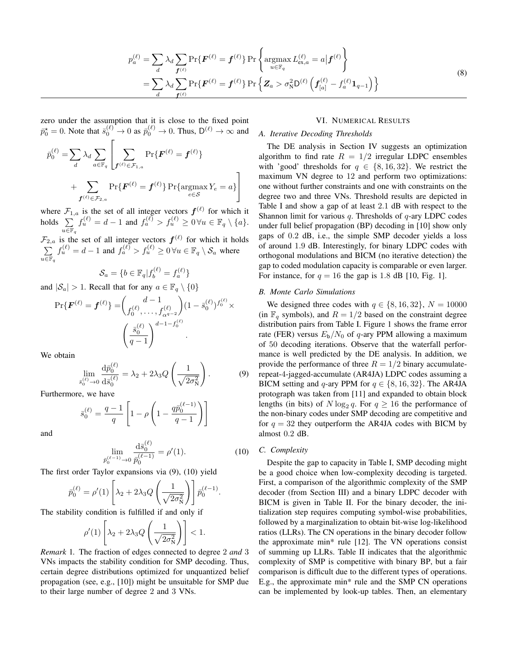$$
p_a^{(\ell)} = \sum_d \lambda_d \sum_{\mathbf{f}^{(\ell)}} \Pr\{\mathbf{F}^{(\ell)} = \mathbf{f}^{(\ell)}\} \Pr\left\{\operatorname*{argmax}_{u \in \mathbb{F}_q} L_{\text{ex},a}^{(\ell)} = a | \mathbf{f}^{(\ell)}\right\}
$$
  
= 
$$
\sum_d \lambda_d \sum_{\mathbf{f}^{(\ell)}} \Pr\{\mathbf{F}^{(\ell)} = \mathbf{f}^{(\ell)}\} \Pr\left\{\mathbf{Z}_a > \sigma_N^2 \mathsf{D}^{(\ell)} \left(\mathbf{f}_{[a]}^{(\ell)} - f_a^{(\ell)} \mathbf{1}_{q-1}\right)\right\}
$$
 (8)

zero under the assumption that it is close to the fixed point  $\bar{p}_0^* = 0$ . Note that  $\bar{s}_0^{(\ell)} \to 0$  as  $\bar{p}_0^{(\ell)} \to 0$ . Thus,  $D^{(\ell)} \to \infty$  and

$$
\bar{p}_0^{(\ell)} = \sum_d \lambda_d \sum_{a \in \mathbb{F}_q} \left[ \sum_{\boldsymbol{f}^{(\ell)} \in \mathcal{F}_{1,a}} \Pr \{ \boldsymbol{F}^{(\ell)} = \boldsymbol{f}^{(\ell)} \} \\ + \sum_{\boldsymbol{f}^{(\ell)} \in \mathcal{F}_{2,a}} \Pr \{ \boldsymbol{F}^{(\ell)} = \boldsymbol{f}^{(\ell)} \} \Pr \{ \operatorname*{argmax}_{e \in \mathcal{S}} Y_e = a \} \right]
$$

where  $\mathcal{F}_{1,a}$  is the set of all integer vectors  $f^{(\ell)}$  for which it holds  $\Sigma$  $u\overline{\in }\mathbb{F}_q$  $f_u^{(\ell)} = d-1$  and  $f_a^{(\ell)} > f_u^{(\ell)} \geq 0 \,\forall u \in \mathbb{F}_q \setminus \{a\}.$ 

 $\mathcal{F}_{2,a}$  is the set of all integer vectors  $f^{(\ell)}$  for which it holds  $\sum$  $u\overline{\in }\mathbb{F}_q$  $f_u^{(\ell)} = d - 1$  and  $f_a^{(\ell)} > f_u^{(\ell)} \ge 0 \,\forall u \in \mathbb{F}_q \setminus \mathcal{S}_a$  where

$$
\mathcal{S}_a = \{b \in \mathbb{F}_q | f_b^{(\ell)} = f_a^{(\ell)}\}
$$

and  $|S_a| > 1$ . Recall that for any  $a \in \mathbb{F}_q \setminus \{0\}$ 

$$
\Pr\{\boldsymbol{F}^{(\ell)} = \boldsymbol{f}^{(\ell)}\} = \binom{d-1}{f_0^{(\ell)}, \dots, f_{\alpha^{q-2}}^{(\ell)}} (1 - \bar{s}_0^{(\ell)})^{f_0^{(\ell)}} \times \left(\frac{\bar{s}_0^{(\ell)}}{q-1}\right)^{d-1-f_0^{(\ell)}}.
$$

We obtain

$$
\lim_{\bar{s}_0^{(\ell)} \to 0} \frac{\mathrm{d}\bar{p}_0^{(\ell)}}{\mathrm{d}\bar{s}_0^{(\ell)}} = \lambda_2 + 2\lambda_3 Q \left(\frac{1}{\sqrt{2\sigma_N^2}}\right). \tag{9}
$$

Furthermore, we have

$$
\bar{s}_0^{(\ell)} = \frac{q-1}{q} \left[ 1 - \rho \left( 1 - \frac{q \bar{p}_0^{(\ell-1)}}{q-1} \right) \right]
$$

and

$$
\lim_{\bar{p}_0^{(\ell-1)} \to 0} \frac{\mathrm{d}\bar{s}_0^{(\ell)}}{p_0^{(\ell-1)}} = \rho'(1). \tag{10}
$$

.

The first order Taylor expansions via (9), (10) yield

$$
\bar{p}_0^{(\ell)} = \rho'(1) \left[ \lambda_2 + 2\lambda_3 Q \left( \frac{1}{\sqrt{2\sigma_N^2}} \right) \right] \bar{p}_0^{(\ell-1)}
$$

The stability condition is fulfilled if and only if

$$
\rho'(1)\left[\lambda_2 + 2\lambda_3 Q\left(\frac{1}{\sqrt{2\sigma_N^2}}\right)\right] < 1.
$$

*Remark* 1*.* The fraction of edges connected to degree 2 *and* 3 VNs impacts the stability condition for SMP decoding. Thus, certain degree distributions optimized for unquantized belief propagation (see, e.g., [10]) might be unsuitable for SMP due to their large number of degree 2 and 3 VNs.

#### VI. NUMERICAL RESULTS

# *A. Iterative Decoding Thresholds*

The DE analysis in Section IV suggests an optimization algorithm to find rate  $R = 1/2$  irregular LDPC ensembles with 'good' thresholds for  $q \in \{8, 16, 32\}$ . We restrict the maximum VN degree to 12 and perform two optimizations: one without further constraints and one with constraints on the degree two and three VNs. Threshold results are depicted in Table I and show a gap of at least 2.1 dB with respect to the Shannon limit for various q. Thresholds of  $q$ -ary LDPC codes under full belief propagation (BP) decoding in [10] show only gaps of 0.2 dB, i.e., the simple SMP decoder yields a loss of around 1.9 dB. Interestingly, for binary LDPC codes with orthogonal modulations and BICM (no iterative detection) the gap to coded modulation capacity is comparable or even larger. For instance, for  $q = 16$  the gap is 1.8 dB [10, Fig. 1].

# *B. Monte Carlo Simulations*

We designed three codes with  $q \in \{8, 16, 32\}, N = 10000$ (in  $\mathbb{F}_q$  symbols), and  $R = 1/2$  based on the constraint degree distribution pairs from Table I. Figure 1 shows the frame error rate (FER) versus  $E_b/N_0$  of q-ary PPM allowing a maximum of 50 decoding iterations. Observe that the waterfall performance is well predicted by the DE analysis. In addition, we provide the performance of three  $R = 1/2$  binary accumulaterepeat-4-jagged-accumulate (AR4JA) LDPC codes assuming a BICM setting and q-ary PPM for  $q \in \{8, 16, 32\}$ . The AR4JA protograph was taken from [11] and expanded to obtain block lengths (in bits) of  $N \log_2 q$ . For  $q \ge 16$  the performance of the non-binary codes under SMP decoding are competitive and for  $q = 32$  they outperform the AR4JA codes with BICM by almost 0.2 dB.

#### *C. Complexity*

Despite the gap to capacity in Table I, SMP decoding might be a good choice when low-complexity decoding is targeted. First, a comparison of the algorithmic complexity of the SMP decoder (from Section III) and a binary LDPC decoder with BICM is given in Table II. For the binary decoder, the initialization step requires computing symbol-wise probabilities, followed by a marginalization to obtain bit-wise log-likelihood ratios (LLRs). The CN operations in the binary decoder follow the approximate min\* rule [12]. The VN operations consist of summing up LLRs. Table II indicates that the algorithmic complexity of SMP is competitive with binary BP, but a fair comparison is difficult due to the different types of operations. E.g., the approximate min\* rule and the SMP CN operations can be implemented by look-up tables. Then, an elementary